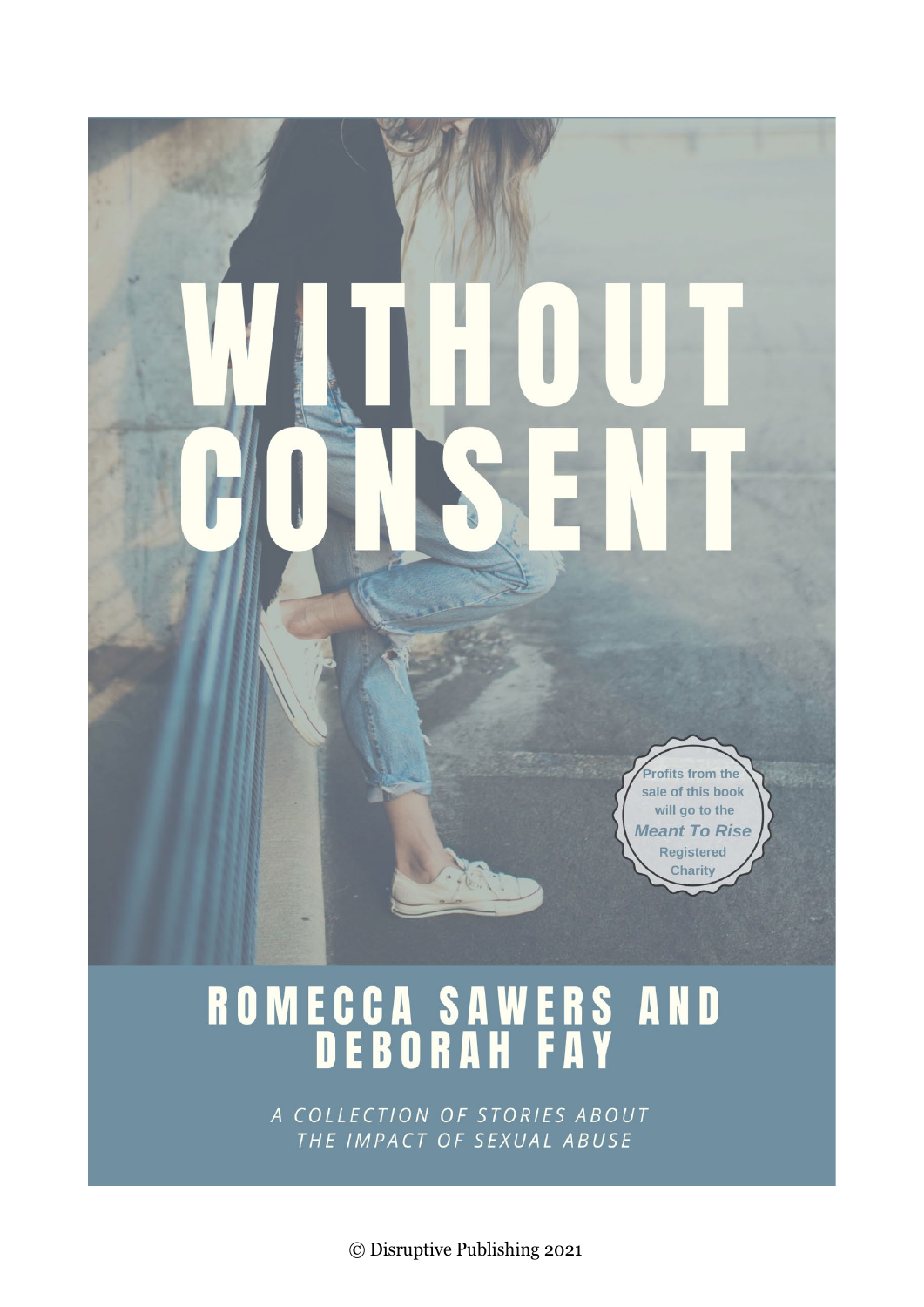

# ROMECCA SAWERS AND<br>DEBORAH FAY

A COLLECTION OF STORIES ABOUT THE IMPACT OF SEXUAL ABUSE

© Disruptive Publishing 2021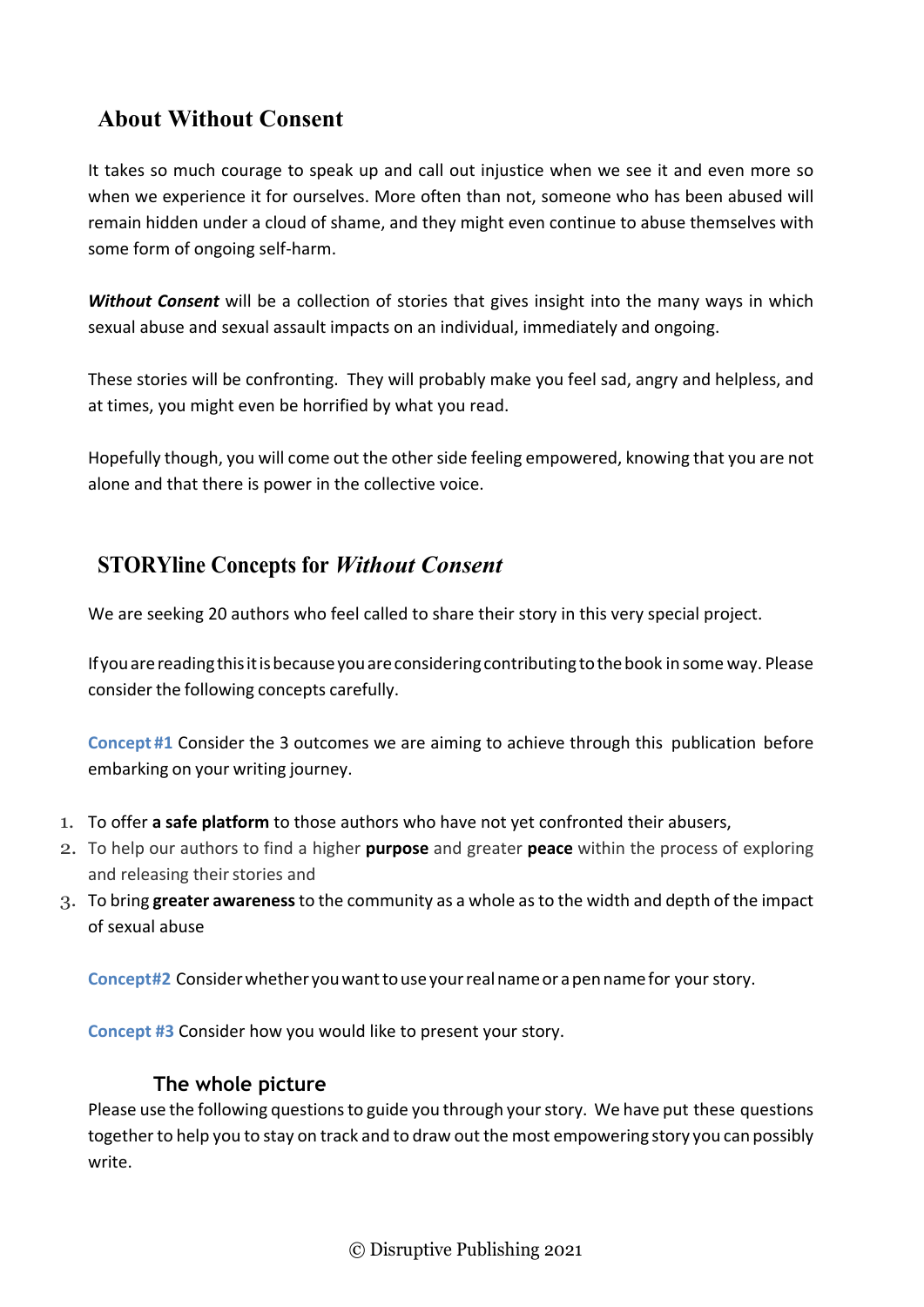# **About Without Consent**

It takes so much courage to speak up and call out injustice when we see it and even more so when we experience it for ourselves. More often than not, someone who has been abused will remain hidden under a cloud of shame, and they might even continue to abuse themselves with some form of ongoing self-harm.

*Without Consent* will be a collection of stories that gives insight into the many ways in which sexual abuse and sexual assault impacts on an individual, immediately and ongoing.

These stories will be confronting. They will probably make you feel sad, angry and helpless, and at times, you might even be horrified by what you read.

Hopefully though, you will come out the other side feeling empowered, knowing that you are not alone and that there is power in the collective voice.

# **STORYline Concepts for** *Without Consent*

We are seeking 20 authors who feel called to share their story in this very special project.

If you are reading this it is because you are considering contributing to the book in some way. Please consider the following concepts carefully.

**Concept #1** Consider the 3 outcomes we are aiming to achieve through this publication before embarking on your writing journey.

- 1. To offer **a safe platform** to those authors who have not yet confronted their abusers,
- 2. To help our authors to find a higher **purpose** and greater **peace** within the process of exploring and releasing their stories and
- 3. To bring **greater awareness**to the community as a whole as to the width and depth of the impact of sexual abuse

**Concept#2** Consider whether you want to use your realnameor a pen namefor your story.

**Concept #3** Consider how you would like to present your story.

## **The whole picture**

Please use the following questions to guide you through your story. We have put these questions together to help you to stay on track and to draw out the most empowering story you can possibly write.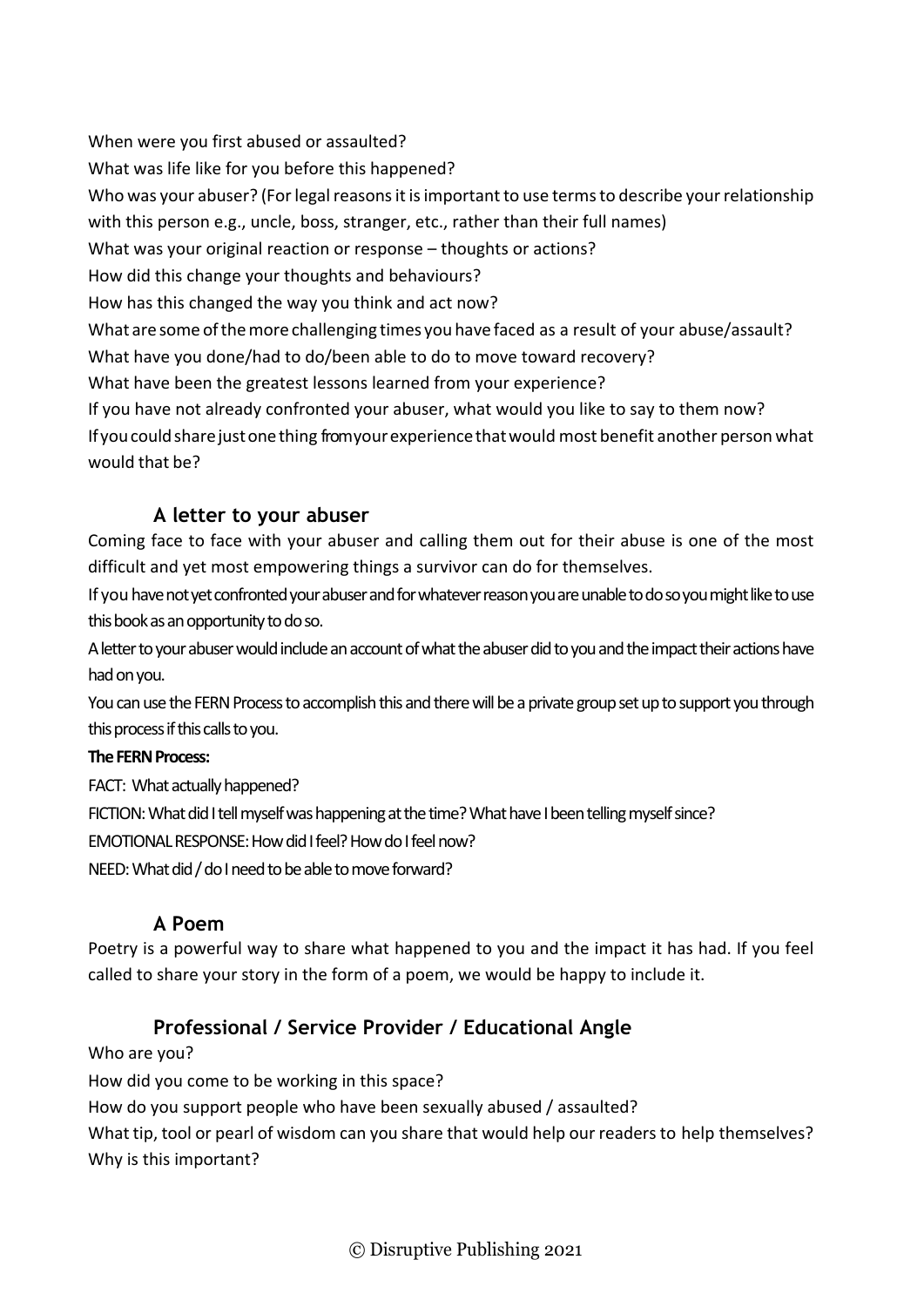When were you first abused or assaulted? What was life like for you before this happened? Who was your abuser? (For legal reasons it is important to use terms to describe your relationship with this person e.g., uncle, boss, stranger, etc., rather than their full names) What was your original reaction or response – thoughts or actions? How did this change your thoughts and behaviours? How has this changed the way you think and act now? What are some of the more challenging times you have faced as a result of your abuse/assault? What have you done/had to do/been able to do to move toward recovery? What have been the greatest lessons learned from your experience? If you have not already confronted your abuser, what would you like to say to them now? If you could share just one thing from your experience that would most benefit another person what would that be?

## **A letter to your abuser**

Coming face to face with your abuser and calling them out for their abuse is one of the most difficult and yet most empowering things a survivor can do for themselves.

If you have not yet confronted your abuser and for whatever reason you are unable to do so you might like to use this book as an opportunity to do so.

A letter to your abuser would include an account of what the abuser did to you and the impact their actions have had on you.

You can use the FERN Process to accomplish this and there will be a private group set up to support you through this process if this calls to you.

#### **The FERN Process:**

FACT: What actually happened? FICTION: What did I tell myself was happening at the time? What have I been telling myself since? EMOTIONAL RESPONSE: How did I feel? How do I feel now?

NEED: What did / do I need to be able to move forward?

### **A Poem**

Poetry is a powerful way to share what happened to you and the impact it has had. If you feel called to share your story in the form of a poem, we would be happy to include it.

## **Professional / Service Provider / Educational Angle**

Who are you?

How did you come to be working in this space?

How do you support people who have been sexually abused / assaulted?

What tip, tool or pearl of wisdom can you share that would help our readers to help themselves? Why is this important?

© Disruptive Publishing 2021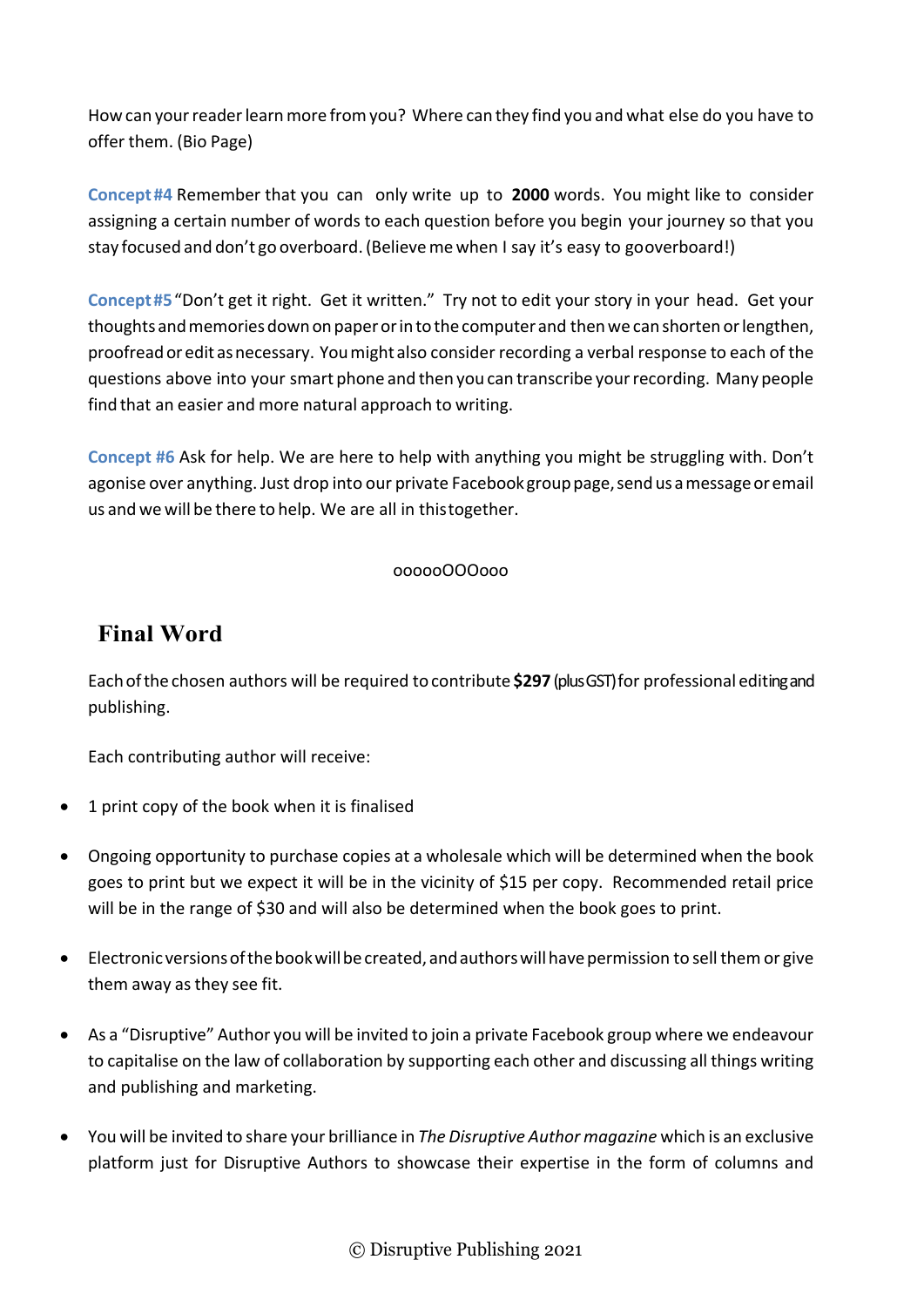How can your reader learn more from you? Where can they find you and what else do you have to offer them. (Bio Page)

**Concept #4** Remember that you can only write up to **2000** words. You might like to consider assigning a certain number of words to each question before you begin your journey so that you stay focused and don't go overboard.(Believeme when I say it's easy to gooverboard!)

**Concept#5**"Don't get it right. Get it written." Try not to edit your story in your head. Get your thoughts and memories down on paper or in to the computer and then we can shorten or lengthen, proofreador edit asnecessary. Youmight also consider recording a verbal response to each of the questions above into your smart phone and then you can transcribe yourrecording. Many people find that an easier and more natural approach to writing.

**Concept #6** Ask for help. We are here to help with anything you might be struggling with. Don't agonise over anything. Just drop into our private Facebook group page, send us a message or email us and we will be there to help. We are all in this together.

#### oooooOOOooo

# **Final Word**

Eachof the chosen authors will be required to contribute **\$297** (plus GST) for professional editing and publishing.

Each contributing author will receive:

- 1 print copy of the book when it is finalised
- Ongoing opportunity to purchase copies at a wholesale which will be determined when the book goes to print but we expect it will be in the vicinity of \$15 per copy. Recommended retail price will be in the range of \$30 and will also be determined when the book goes to print.
- Electronic versions of the book will be created, and authors will have permission to sell them or give them away as they see fit.
- As a "Disruptive" Author you will be invited to join a private Facebook group where we endeavour to capitalise on the law of collaboration by supporting each other and discussing all things writing and publishing and marketing.
- You will be invited to share your brilliance in *The Disruptive Author magazine* which is an exclusive platform just for Disruptive Authors to showcase their expertise in the form of columns and